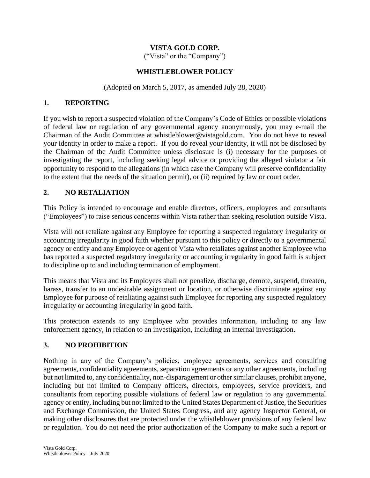## **VISTA GOLD CORP.**

("Vista" or the "Company")

## **WHISTLEBLOWER POLICY**

### (Adopted on March 5, 2017, as amended July 28, 2020)

#### **1. REPORTING**

If you wish to report a suspected violation of the Company's Code of Ethics or possible violations of federal law or regulation of any governmental agency anonymously, you may e-mail the Chairman of the Audit Committee at whistleblower@vistagold.com. You do not have to reveal your identity in order to make a report. If you do reveal your identity, it will not be disclosed by the Chairman of the Audit Committee unless disclosure is (i) necessary for the purposes of investigating the report, including seeking legal advice or providing the alleged violator a fair opportunity to respond to the allegations (in which case the Company will preserve confidentiality to the extent that the needs of the situation permit), or (ii) required by law or court order.

## **2. NO RETALIATION**

This Policy is intended to encourage and enable directors, officers, employees and consultants ("Employees") to raise serious concerns within Vista rather than seeking resolution outside Vista.

Vista will not retaliate against any Employee for reporting a suspected regulatory irregularity or accounting irregularity in good faith whether pursuant to this policy or directly to a governmental agency or entity and any Employee or agent of Vista who retaliates against another Employee who has reported a suspected regulatory irregularity or accounting irregularity in good faith is subject to discipline up to and including termination of employment.

This means that Vista and its Employees shall not penalize, discharge, demote, suspend, threaten, harass, transfer to an undesirable assignment or location, or otherwise discriminate against any Employee for purpose of retaliating against such Employee for reporting any suspected regulatory irregularity or accounting irregularity in good faith.

This protection extends to any Employee who provides information, including to any law enforcement agency, in relation to an investigation, including an internal investigation.

# **3. NO PROHIBITION**

Nothing in any of the Company's policies, employee agreements, services and consulting agreements, confidentiality agreements, separation agreements or any other agreements, including but not limited to, any confidentiality, non-disparagement or other similar clauses, prohibit anyone, including but not limited to Company officers, directors, employees, service providers, and consultants from reporting possible violations of federal law or regulation to any governmental agency or entity, including but not limited to the United States Department of Justice, the Securities and Exchange Commission, the United States Congress, and any agency Inspector General, or making other disclosures that are protected under the whistleblower provisions of any federal law or regulation. You do not need the prior authorization of the Company to make such a report or